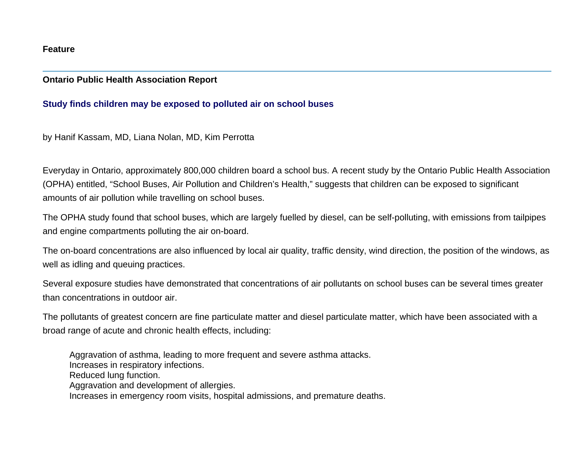## **Feature**

## **Ontario Public Health Association Report**

## **Study finds children may be exposed to polluted air on school buses**

by Hanif Kassam, MD, Liana Nolan, MD, Kim Perrotta

Everyday in Ontario, approximately 800,000 children board a school bus. A recent study by the Ontario Public Health Association (OPHA) entitled, "School Buses, Air Pollution and Children's Health," suggests that children can be exposed to significant amounts of air pollution while travelling on school buses.

The OPHA study found that school buses, which are largely fuelled by diesel, can be self-polluting, with emissions from tailpipes and engine compartments polluting the air on-board.

The on-board concentrations are also influenced by local air quality, traffic density, wind direction, the position of the windows, as well as idling and queuing practices.

Several exposure studies have demonstrated that concentrations of air pollutants on school buses can be several times greater than concentrations in outdoor air.

The pollutants of greatest concern are fine particulate matter and diesel particulate matter, which have been associated with a broad range of acute and chronic health effects, including:

Aggravation of asthma, leading to more frequent and severe asthma attacks. Increases in respiratory infections. Reduced lung function. Aggravation and development of allergies. Increases in emergency room visits, hospital admissions, and premature deaths.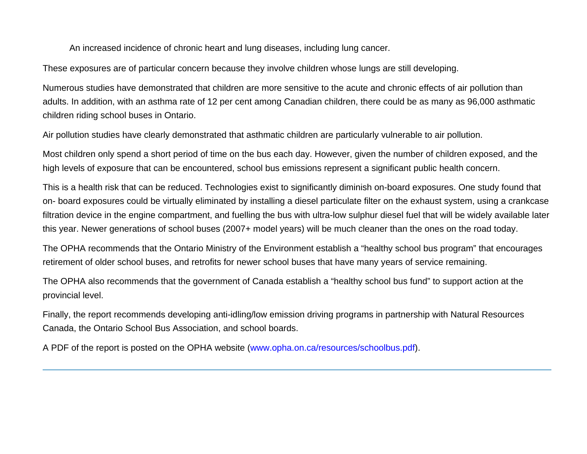An increased incidence of chronic heart and lung diseases, including lung cancer.

These exposures are of particular concern because they involve children whose lungs are still developing.

Numerous studies have demonstrated that children are more sensitive to the acute and chronic effects of air pollution than adults. In addition, with an asthma rate of 12 per cent among Canadian children, there could be as many as 96,000 asthmatic children riding school buses in Ontario.

Air pollution studies have clearly demonstrated that asthmatic children are particularly vulnerable to air pollution.

Most children only spend a short period of time on the bus each day. However, given the number of children exposed, and the high levels of exposure that can be encountered, school bus emissions represent a significant public health concern.

This is a health risk that can be reduced. Technologies exist to significantly diminish on-board exposures. One study found that on- board exposures could be virtually eliminated by installing a diesel particulate filter on the exhaust system, using a crankcase filtration device in the engine compartment, and fuelling the bus with ultra-low sulphur diesel fuel that will be widely available later this year. Newer generations of school buses (2007+ model years) will be much cleaner than the ones on the road today.

The OPHA recommends that the Ontario Ministry of the Environment establish a "healthy school bus program" that encourages retirement of older school buses, and retrofits for newer school buses that have many years of service remaining.

The OPHA also recommends that the government of Canada establish a "healthy school bus fund" to support action at the provincial level.

Finally, the report recommends developing anti-idling/low emission driving programs in partnership with Natural Resources Canada, the Ontario School Bus Association, and school boards.

A PDF of the report is posted on the OPHA website ([www.opha.on.ca/resources/schoolbus.pdf](http://www.opha.on.ca/resources/schoolbus.pdf)).